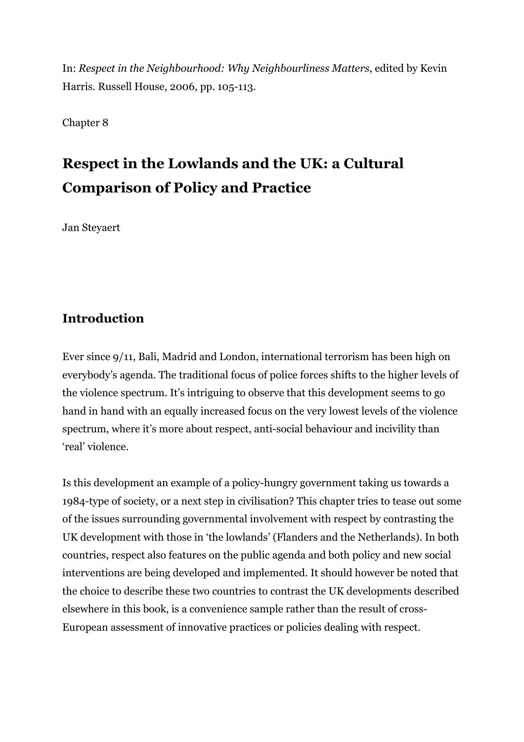In: *Respect in the Neighbourhood: Why Neighbourliness Matters*, edited by Kevin Harris. Russell House, 2006, pp. 105-113.

Chapter 8

# **Respect in the Lowlands and the UK: a Cultural Comparison of Policy and Practice**

Jan Steyaert

## **Introduction**

Ever since 9/11, Bali, Madrid and London, international terrorism has been high on everybody's agenda. The traditional focus of police forces shifts to the higher levels of the violence spectrum. It's intriguing to observe that this development seems to go hand in hand with an equally increased focus on the very lowest levels of the violence spectrum, where it's more about respect, anti-social behaviour and incivility than 'real' violence.

Is this development an example of a policy-hungry government taking us towards a 1984-type of society, or a next step in civilisation? This chapter tries to tease out some of the issues surrounding governmental involvement with respect by contrasting the UK development with those in 'the lowlands' (Flanders and the Netherlands). In both countries, respect also features on the public agenda and both policy and new social interventions are being developed and implemented. It should however be noted that the choice to describe these two countries to contrast the UK developments described elsewhere in this book, is a convenience sample rather than the result of cross-European assessment of innovative practices or policies dealing with respect.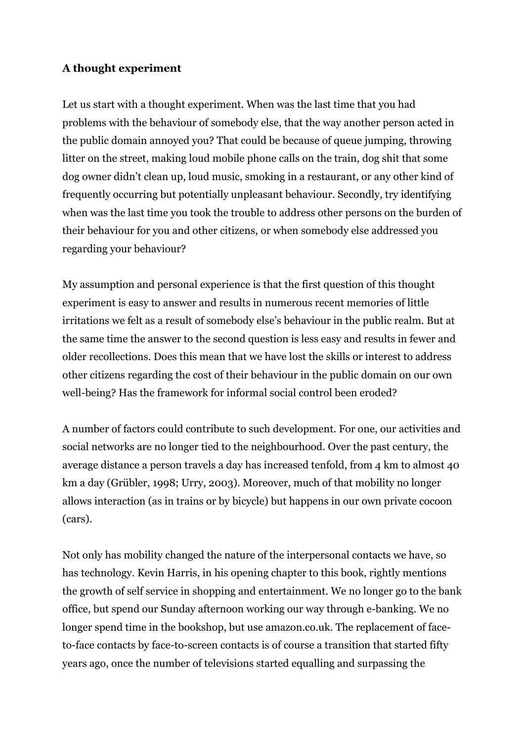#### **A thought experiment**

Let us start with a thought experiment. When was the last time that you had problems with the behaviour of somebody else, that the way another person acted in the public domain annoyed you? That could be because of queue jumping, throwing litter on the street, making loud mobile phone calls on the train, dog shit that some dog owner didn't clean up, loud music, smoking in a restaurant, or any other kind of frequently occurring but potentially unpleasant behaviour. Secondly, try identifying when was the last time you took the trouble to address other persons on the burden of their behaviour for you and other citizens, or when somebody else addressed you regarding your behaviour?

My assumption and personal experience is that the first question of this thought experiment is easy to answer and results in numerous recent memories of little irritations we felt as a result of somebody else's behaviour in the public realm. But at the same time the answer to the second question is less easy and results in fewer and older recollections. Does this mean that we have lost the skills or interest to address other citizens regarding the cost of their behaviour in the public domain on our own well-being? Has the framework for informal social control been eroded?

A number of factors could contribute to such development. For one, our activities and social networks are no longer tied to the neighbourhood. Over the past century, the average distance a person travels a day has increased tenfold, from 4 km to almost 40 km a day (Grübler, 1998; Urry, 2003). Moreover, much of that mobility no longer allows interaction (as in trains or by bicycle) but happens in our own private cocoon (cars).

Not only has mobility changed the nature of the interpersonal contacts we have, so has technology. Kevin Harris, in his opening chapter to this book, rightly mentions the growth of self service in shopping and entertainment. We no longer go to the bank office, but spend our Sunday afternoon working our way through e-banking. We no longer spend time in the bookshop, but use amazon.co.uk. The replacement of faceto-face contacts by face-to-screen contacts is of course a transition that started fifty years ago, once the number of televisions started equalling and surpassing the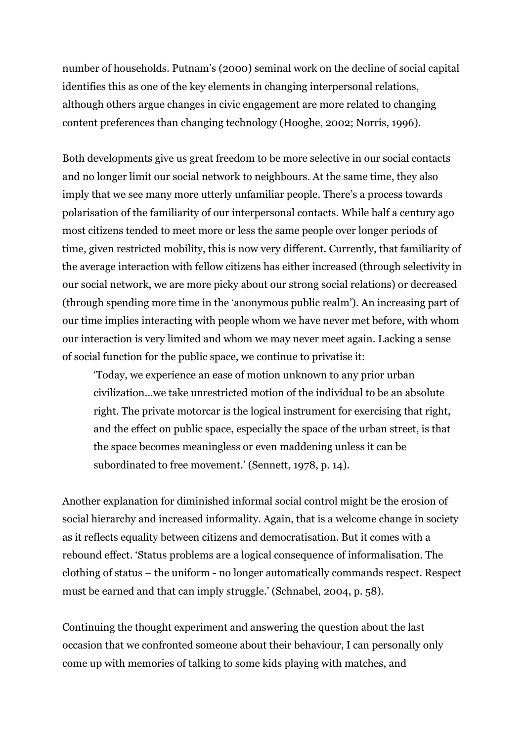number of households. Putnam's (2000) seminal work on the decline of social capital identifies this as one of the key elements in changing interpersonal relations, although others argue changes in civic engagement are more related to changing content preferences than changing technology (Hooghe, 2002; Norris, 1996).

Both developments give us great freedom to be more selective in our social contacts and no longer limit our social network to neighbours. At the same time, they also imply that we see many more utterly unfamiliar people. There's a process towards polarisation of the familiarity of our interpersonal contacts. While half a century ago most citizens tended to meet more or less the same people over longer periods of time, given restricted mobility, this is now very different. Currently, that familiarity of the average interaction with fellow citizens has either increased (through selectivity in our social network, we are more picky about our strong social relations) or decreased (through spending more time in the 'anonymous public realm'). An increasing part of our time implies interacting with people whom we have never met before, with whom our interaction is very limited and whom we may never meet again. Lacking a sense of social function for the public space, we continue to privatise it:

'Today, we experience an ease of motion unknown to any prior urban civilization…we take unrestricted motion of the individual to be an absolute right. The private motorcar is the logical instrument for exercising that right, and the effect on public space, especially the space of the urban street, is that the space becomes meaningless or even maddening unless it can be subordinated to free movement.' (Sennett, 1978, p. 14).

Another explanation for diminished informal social control might be the erosion of social hierarchy and increased informality. Again, that is a welcome change in society as it reflects equality between citizens and democratisation. But it comes with a rebound effect. 'Status problems are a logical consequence of informalisation. The clothing of status – the uniform - no longer automatically commands respect. Respect must be earned and that can imply struggle.' (Schnabel, 2004, p. 58).

Continuing the thought experiment and answering the question about the last occasion that we confronted someone about their behaviour, I can personally only come up with memories of talking to some kids playing with matches, and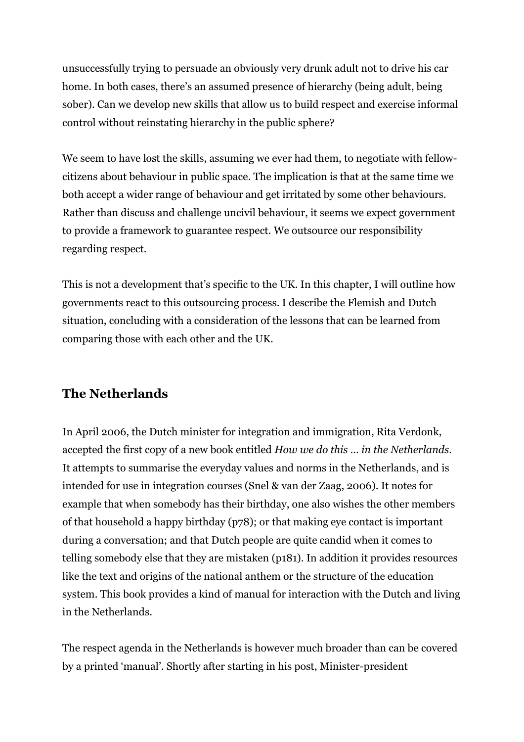unsuccessfully trying to persuade an obviously very drunk adult not to drive his car home. In both cases, there's an assumed presence of hierarchy (being adult, being sober). Can we develop new skills that allow us to build respect and exercise informal control without reinstating hierarchy in the public sphere?

We seem to have lost the skills, assuming we ever had them, to negotiate with fellowcitizens about behaviour in public space. The implication is that at the same time we both accept a wider range of behaviour and get irritated by some other behaviours. Rather than discuss and challenge uncivil behaviour, it seems we expect government to provide a framework to guarantee respect. We outsource our responsibility regarding respect.

This is not a development that's specific to the UK. In this chapter, I will outline how governments react to this outsourcing process. I describe the Flemish and Dutch situation, concluding with a consideration of the lessons that can be learned from comparing those with each other and the UK.

## **The Netherlands**

In April 2006, the Dutch minister for integration and immigration, Rita Verdonk, accepted the first copy of a new book entitled *How we do this … in the Netherlands*. It attempts to summarise the everyday values and norms in the Netherlands, and is intended for use in integration courses (Snel & van der Zaag, 2006). It notes for example that when somebody has their birthday, one also wishes the other members of that household a happy birthday (p78); or that making eye contact is important during a conversation; and that Dutch people are quite candid when it comes to telling somebody else that they are mistaken (p181). In addition it provides resources like the text and origins of the national anthem or the structure of the education system. This book provides a kind of manual for interaction with the Dutch and living in the Netherlands.

The respect agenda in the Netherlands is however much broader than can be covered by a printed 'manual'. Shortly after starting in his post, Minister-president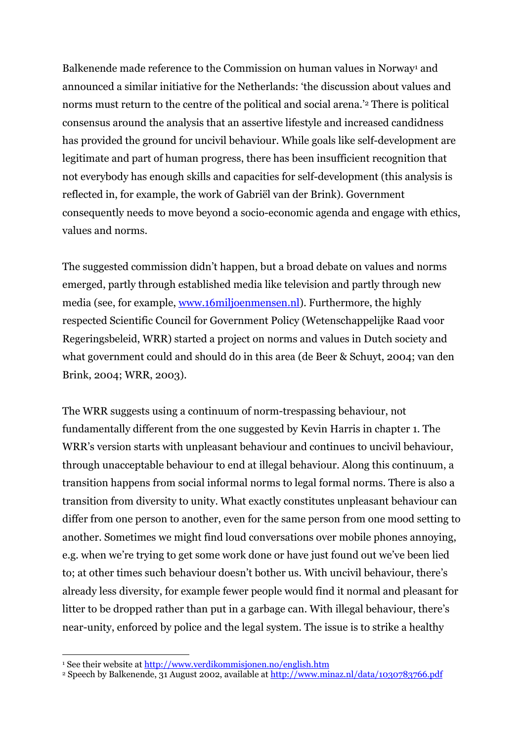Balkenende made reference to the Commission on human values in Norway<sup>1</sup> and announced a similar initiative for the Netherlands: 'the discussion about values and norms must return to the centre of the political and social arena.'2 There is political consensus around the analysis that an assertive lifestyle and increased candidness has provided the ground for uncivil behaviour. While goals like self-development are legitimate and part of human progress, there has been insufficient recognition that not everybody has enough skills and capacities for self-development (this analysis is reflected in, for example, the work of Gabriël van der Brink). Government consequently needs to move beyond a socio-economic agenda and engage with ethics, values and norms.

The suggested commission didn't happen, but a broad debate on values and norms emerged, partly through established media like television and partly through new media (see, for example, www.16miljoenmensen.nl). Furthermore, the highly respected Scientific Council for Government Policy (Wetenschappelijke Raad voor Regeringsbeleid, WRR) started a project on norms and values in Dutch society and what government could and should do in this area (de Beer & Schuyt, 2004; van den Brink, 2004; WRR, 2003).

The WRR suggests using a continuum of norm-trespassing behaviour, not fundamentally different from the one suggested by Kevin Harris in chapter 1. The WRR's version starts with unpleasant behaviour and continues to uncivil behaviour, through unacceptable behaviour to end at illegal behaviour. Along this continuum, a transition happens from social informal norms to legal formal norms. There is also a transition from diversity to unity. What exactly constitutes unpleasant behaviour can differ from one person to another, even for the same person from one mood setting to another. Sometimes we might find loud conversations over mobile phones annoying, e.g. when we're trying to get some work done or have just found out we've been lied to; at other times such behaviour doesn't bother us. With uncivil behaviour, there's already less diversity, for example fewer people would find it normal and pleasant for litter to be dropped rather than put in a garbage can. With illegal behaviour, there's near-unity, enforced by police and the legal system. The issue is to strike a healthy

1

<sup>&</sup>lt;sup>1</sup> See their website at <u>http://www.verdikommisjonen.no/english.htm</u><br><sup>2</sup> Speech by Balkenende, 31 August 2002, available at <u>http://www.minaz.nl/data/1030783766.pdf</u>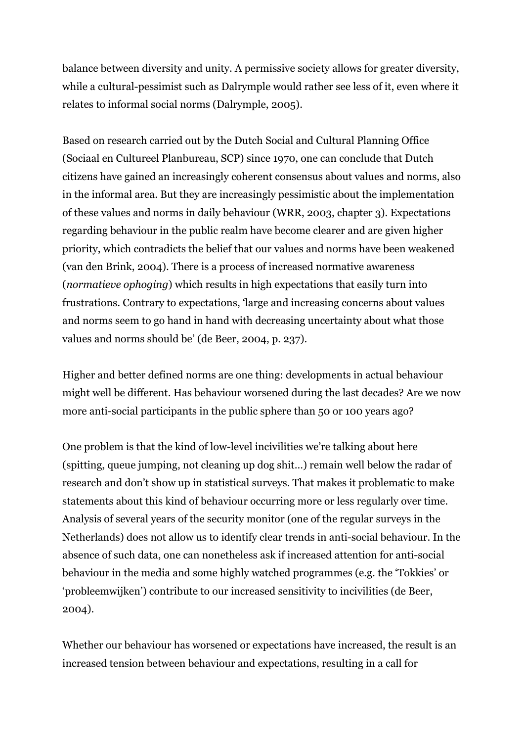balance between diversity and unity. A permissive society allows for greater diversity, while a cultural-pessimist such as Dalrymple would rather see less of it, even where it relates to informal social norms (Dalrymple, 2005).

Based on research carried out by the Dutch Social and Cultural Planning Office (Sociaal en Cultureel Planbureau, SCP) since 1970, one can conclude that Dutch citizens have gained an increasingly coherent consensus about values and norms, also in the informal area. But they are increasingly pessimistic about the implementation of these values and norms in daily behaviour (WRR, 2003, chapter 3). Expectations regarding behaviour in the public realm have become clearer and are given higher priority, which contradicts the belief that our values and norms have been weakened (van den Brink, 2004). There is a process of increased normative awareness (*normatieve ophoging*) which results in high expectations that easily turn into frustrations. Contrary to expectations, 'large and increasing concerns about values and norms seem to go hand in hand with decreasing uncertainty about what those values and norms should be' (de Beer, 2004, p. 237).

Higher and better defined norms are one thing: developments in actual behaviour might well be different. Has behaviour worsened during the last decades? Are we now more anti-social participants in the public sphere than 50 or 100 years ago?

One problem is that the kind of low-level incivilities we're talking about here (spitting, queue jumping, not cleaning up dog shit…) remain well below the radar of research and don't show up in statistical surveys. That makes it problematic to make statements about this kind of behaviour occurring more or less regularly over time. Analysis of several years of the security monitor (one of the regular surveys in the Netherlands) does not allow us to identify clear trends in anti-social behaviour. In the absence of such data, one can nonetheless ask if increased attention for anti-social behaviour in the media and some highly watched programmes (e.g. the 'Tokkies' or 'probleemwijken') contribute to our increased sensitivity to incivilities (de Beer, 2004).

Whether our behaviour has worsened or expectations have increased, the result is an increased tension between behaviour and expectations, resulting in a call for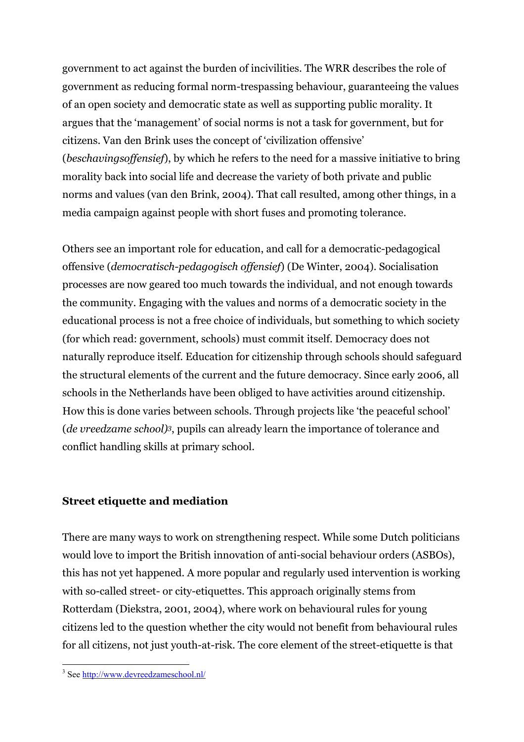government to act against the burden of incivilities. The WRR describes the role of government as reducing formal norm-trespassing behaviour, guaranteeing the values of an open society and democratic state as well as supporting public morality. It argues that the 'management' of social norms is not a task for government, but for citizens. Van den Brink uses the concept of 'civilization offensive' (*beschavingsoffensief*), by which he refers to the need for a massive initiative to bring morality back into social life and decrease the variety of both private and public norms and values (van den Brink, 2004). That call resulted, among other things, in a media campaign against people with short fuses and promoting tolerance.

Others see an important role for education, and call for a democratic-pedagogical offensive (*democratisch-pedagogisch offensief*) (De Winter, 2004). Socialisation processes are now geared too much towards the individual, and not enough towards the community. Engaging with the values and norms of a democratic society in the educational process is not a free choice of individuals, but something to which society (for which read: government, schools) must commit itself. Democracy does not naturally reproduce itself. Education for citizenship through schools should safeguard the structural elements of the current and the future democracy. Since early 2006, all schools in the Netherlands have been obliged to have activities around citizenship. How this is done varies between schools. Through projects like 'the peaceful school' (*de vreedzame school)3*, pupils can already learn the importance of tolerance and conflict handling skills at primary school.

#### **Street etiquette and mediation**

There are many ways to work on strengthening respect. While some Dutch politicians would love to import the British innovation of anti-social behaviour orders (ASBOs), this has not yet happened. A more popular and regularly used intervention is working with so-called street- or city-etiquettes. This approach originally stems from Rotterdam (Diekstra, 2001, 2004), where work on behavioural rules for young citizens led to the question whether the city would not benefit from behavioural rules for all citizens, not just youth-at-risk. The core element of the street-etiquette is that

<sup>&</sup>lt;sup>3</sup> See <u>http://www.devreedzameschool.nl/</u>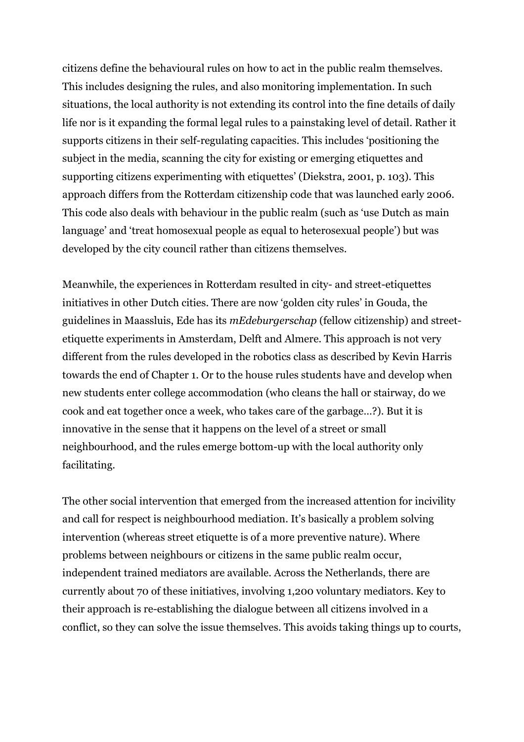citizens define the behavioural rules on how to act in the public realm themselves. This includes designing the rules, and also monitoring implementation. In such situations, the local authority is not extending its control into the fine details of daily life nor is it expanding the formal legal rules to a painstaking level of detail. Rather it supports citizens in their self-regulating capacities. This includes 'positioning the subject in the media, scanning the city for existing or emerging etiquettes and supporting citizens experimenting with etiquettes' (Diekstra, 2001, p. 103). This approach differs from the Rotterdam citizenship code that was launched early 2006. This code also deals with behaviour in the public realm (such as 'use Dutch as main language' and 'treat homosexual people as equal to heterosexual people') but was developed by the city council rather than citizens themselves.

Meanwhile, the experiences in Rotterdam resulted in city- and street-etiquettes initiatives in other Dutch cities. There are now 'golden city rules' in Gouda, the guidelines in Maassluis, Ede has its *mEdeburgerschap* (fellow citizenship) and streetetiquette experiments in Amsterdam, Delft and Almere. This approach is not very different from the rules developed in the robotics class as described by Kevin Harris towards the end of Chapter 1. Or to the house rules students have and develop when new students enter college accommodation (who cleans the hall or stairway, do we cook and eat together once a week, who takes care of the garbage…?). But it is innovative in the sense that it happens on the level of a street or small neighbourhood, and the rules emerge bottom-up with the local authority only facilitating.

The other social intervention that emerged from the increased attention for incivility and call for respect is neighbourhood mediation. It's basically a problem solving intervention (whereas street etiquette is of a more preventive nature). Where problems between neighbours or citizens in the same public realm occur, independent trained mediators are available. Across the Netherlands, there are currently about 70 of these initiatives, involving 1,200 voluntary mediators. Key to their approach is re-establishing the dialogue between all citizens involved in a conflict, so they can solve the issue themselves. This avoids taking things up to courts,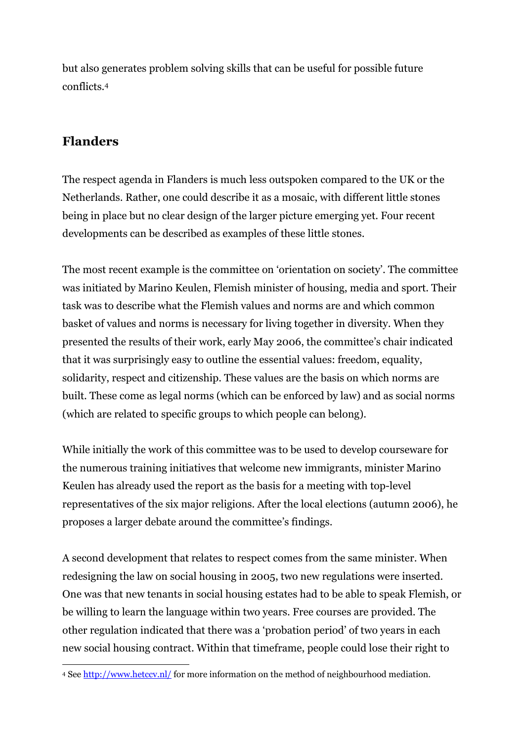but also generates problem solving skills that can be useful for possible future conflicts.4

## **Flanders**

The respect agenda in Flanders is much less outspoken compared to the UK or the Netherlands. Rather, one could describe it as a mosaic, with different little stones being in place but no clear design of the larger picture emerging yet. Four recent developments can be described as examples of these little stones.

The most recent example is the committee on 'orientation on society'. The committee was initiated by Marino Keulen, Flemish minister of housing, media and sport. Their task was to describe what the Flemish values and norms are and which common basket of values and norms is necessary for living together in diversity. When they presented the results of their work, early May 2006, the committee's chair indicated that it was surprisingly easy to outline the essential values: freedom, equality, solidarity, respect and citizenship. These values are the basis on which norms are built. These come as legal norms (which can be enforced by law) and as social norms (which are related to specific groups to which people can belong).

While initially the work of this committee was to be used to develop courseware for the numerous training initiatives that welcome new immigrants, minister Marino Keulen has already used the report as the basis for a meeting with top-level representatives of the six major religions. After the local elections (autumn 2006), he proposes a larger debate around the committee's findings.

A second development that relates to respect comes from the same minister. When redesigning the law on social housing in 2005, two new regulations were inserted. One was that new tenants in social housing estates had to be able to speak Flemish, or be willing to learn the language within two years. Free courses are provided. The other regulation indicated that there was a 'probation period' of two years in each new social housing contract. Within that timeframe, people could lose their right to

<sup>&</sup>lt;u>.</u> 4 See http://www.hetccv.nl/ for more information on the method of neighbourhood mediation.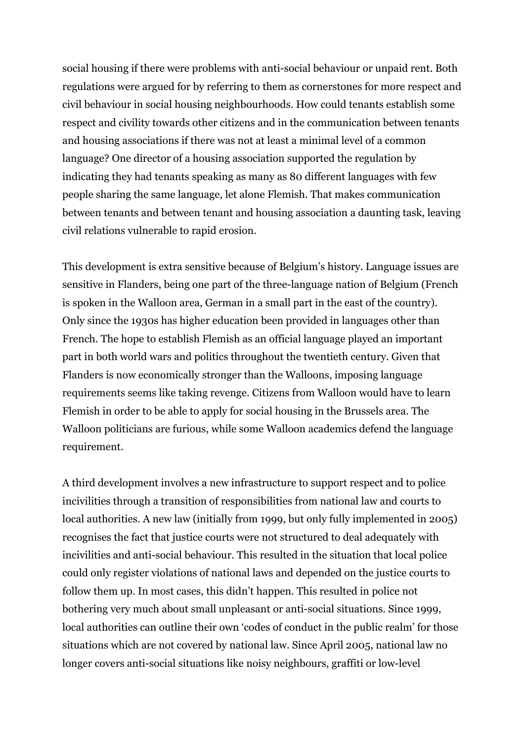social housing if there were problems with anti-social behaviour or unpaid rent. Both regulations were argued for by referring to them as cornerstones for more respect and civil behaviour in social housing neighbourhoods. How could tenants establish some respect and civility towards other citizens and in the communication between tenants and housing associations if there was not at least a minimal level of a common language? One director of a housing association supported the regulation by indicating they had tenants speaking as many as 80 different languages with few people sharing the same language, let alone Flemish. That makes communication between tenants and between tenant and housing association a daunting task, leaving civil relations vulnerable to rapid erosion.

This development is extra sensitive because of Belgium's history. Language issues are sensitive in Flanders, being one part of the three-language nation of Belgium (French is spoken in the Walloon area, German in a small part in the east of the country). Only since the 1930s has higher education been provided in languages other than French. The hope to establish Flemish as an official language played an important part in both world wars and politics throughout the twentieth century. Given that Flanders is now economically stronger than the Walloons, imposing language requirements seems like taking revenge. Citizens from Walloon would have to learn Flemish in order to be able to apply for social housing in the Brussels area. The Walloon politicians are furious, while some Walloon academics defend the language requirement.

A third development involves a new infrastructure to support respect and to police incivilities through a transition of responsibilities from national law and courts to local authorities. A new law (initially from 1999, but only fully implemented in 2005) recognises the fact that justice courts were not structured to deal adequately with incivilities and anti-social behaviour. This resulted in the situation that local police could only register violations of national laws and depended on the justice courts to follow them up. In most cases, this didn't happen. This resulted in police not bothering very much about small unpleasant or anti-social situations. Since 1999, local authorities can outline their own 'codes of conduct in the public realm' for those situations which are not covered by national law. Since April 2005, national law no longer covers anti-social situations like noisy neighbours, graffiti or low-level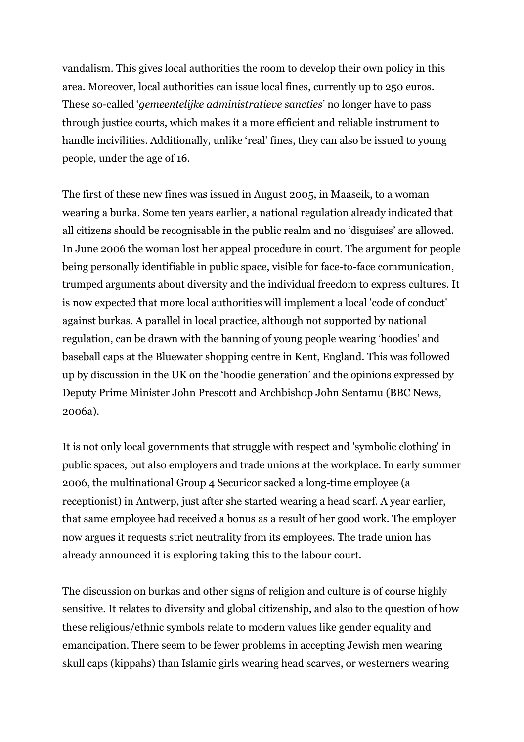vandalism. This gives local authorities the room to develop their own policy in this area. Moreover, local authorities can issue local fines, currently up to 250 euros. These so-called '*gemeentelijke administratieve sancties*' no longer have to pass through justice courts, which makes it a more efficient and reliable instrument to handle incivilities. Additionally, unlike 'real' fines, they can also be issued to young people, under the age of 16.

The first of these new fines was issued in August 2005, in Maaseik, to a woman wearing a burka. Some ten years earlier, a national regulation already indicated that all citizens should be recognisable in the public realm and no 'disguises' are allowed. In June 2006 the woman lost her appeal procedure in court. The argument for people being personally identifiable in public space, visible for face-to-face communication, trumped arguments about diversity and the individual freedom to express cultures. It is now expected that more local authorities will implement a local 'code of conduct' against burkas. A parallel in local practice, although not supported by national regulation, can be drawn with the banning of young people wearing 'hoodies' and baseball caps at the Bluewater shopping centre in Kent, England. This was followed up by discussion in the UK on the 'hoodie generation' and the opinions expressed by Deputy Prime Minister John Prescott and Archbishop John Sentamu (BBC News, 2006a).

It is not only local governments that struggle with respect and 'symbolic clothing' in public spaces, but also employers and trade unions at the workplace. In early summer 2006, the multinational Group 4 Securicor sacked a long-time employee (a receptionist) in Antwerp, just after she started wearing a head scarf. A year earlier, that same employee had received a bonus as a result of her good work. The employer now argues it requests strict neutrality from its employees. The trade union has already announced it is exploring taking this to the labour court.

The discussion on burkas and other signs of religion and culture is of course highly sensitive. It relates to diversity and global citizenship, and also to the question of how these religious/ethnic symbols relate to modern values like gender equality and emancipation. There seem to be fewer problems in accepting Jewish men wearing skull caps (kippahs) than Islamic girls wearing head scarves, or westerners wearing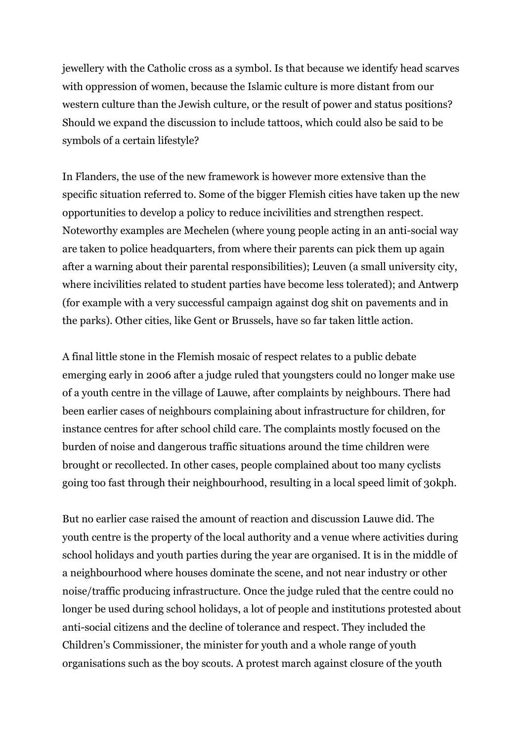jewellery with the Catholic cross as a symbol. Is that because we identify head scarves with oppression of women, because the Islamic culture is more distant from our western culture than the Jewish culture, or the result of power and status positions? Should we expand the discussion to include tattoos, which could also be said to be symbols of a certain lifestyle?

In Flanders, the use of the new framework is however more extensive than the specific situation referred to. Some of the bigger Flemish cities have taken up the new opportunities to develop a policy to reduce incivilities and strengthen respect. Noteworthy examples are Mechelen (where young people acting in an anti-social way are taken to police headquarters, from where their parents can pick them up again after a warning about their parental responsibilities); Leuven (a small university city, where incivilities related to student parties have become less tolerated); and Antwerp (for example with a very successful campaign against dog shit on pavements and in the parks). Other cities, like Gent or Brussels, have so far taken little action.

A final little stone in the Flemish mosaic of respect relates to a public debate emerging early in 2006 after a judge ruled that youngsters could no longer make use of a youth centre in the village of Lauwe, after complaints by neighbours. There had been earlier cases of neighbours complaining about infrastructure for children, for instance centres for after school child care. The complaints mostly focused on the burden of noise and dangerous traffic situations around the time children were brought or recollected. In other cases, people complained about too many cyclists going too fast through their neighbourhood, resulting in a local speed limit of 30kph.

But no earlier case raised the amount of reaction and discussion Lauwe did. The youth centre is the property of the local authority and a venue where activities during school holidays and youth parties during the year are organised. It is in the middle of a neighbourhood where houses dominate the scene, and not near industry or other noise/traffic producing infrastructure. Once the judge ruled that the centre could no longer be used during school holidays, a lot of people and institutions protested about anti-social citizens and the decline of tolerance and respect. They included the Children's Commissioner, the minister for youth and a whole range of youth organisations such as the boy scouts. A protest march against closure of the youth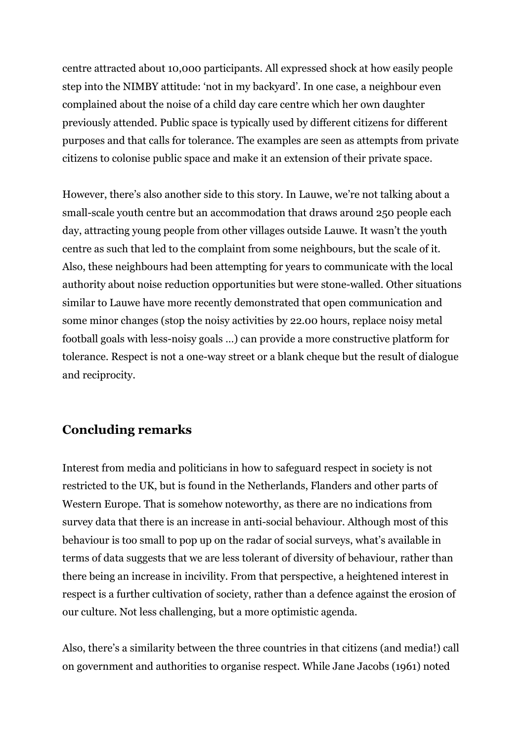centre attracted about 10,000 participants. All expressed shock at how easily people step into the NIMBY attitude: 'not in my backyard'. In one case, a neighbour even complained about the noise of a child day care centre which her own daughter previously attended. Public space is typically used by different citizens for different purposes and that calls for tolerance. The examples are seen as attempts from private citizens to colonise public space and make it an extension of their private space.

However, there's also another side to this story. In Lauwe, we're not talking about a small-scale youth centre but an accommodation that draws around 250 people each day, attracting young people from other villages outside Lauwe. It wasn't the youth centre as such that led to the complaint from some neighbours, but the scale of it. Also, these neighbours had been attempting for years to communicate with the local authority about noise reduction opportunities but were stone-walled. Other situations similar to Lauwe have more recently demonstrated that open communication and some minor changes (stop the noisy activities by 22.00 hours, replace noisy metal football goals with less-noisy goals …) can provide a more constructive platform for tolerance. Respect is not a one-way street or a blank cheque but the result of dialogue and reciprocity.

## **Concluding remarks**

Interest from media and politicians in how to safeguard respect in society is not restricted to the UK, but is found in the Netherlands, Flanders and other parts of Western Europe. That is somehow noteworthy, as there are no indications from survey data that there is an increase in anti-social behaviour. Although most of this behaviour is too small to pop up on the radar of social surveys, what's available in terms of data suggests that we are less tolerant of diversity of behaviour, rather than there being an increase in incivility. From that perspective, a heightened interest in respect is a further cultivation of society, rather than a defence against the erosion of our culture. Not less challenging, but a more optimistic agenda.

Also, there's a similarity between the three countries in that citizens (and media!) call on government and authorities to organise respect. While Jane Jacobs (1961) noted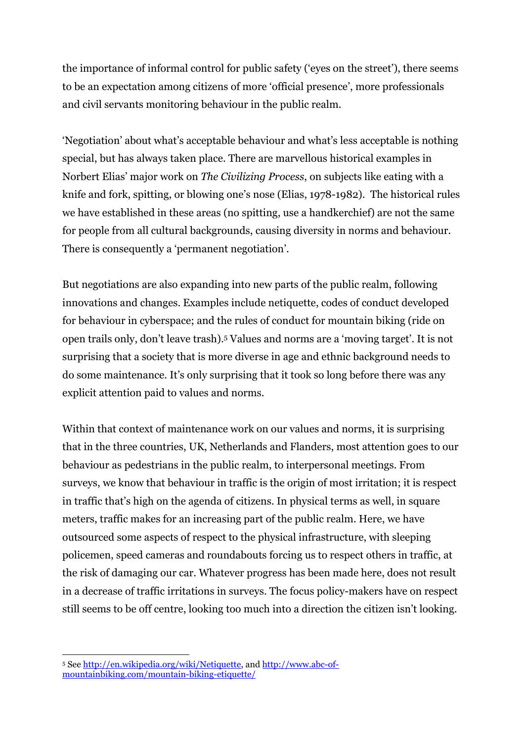the importance of informal control for public safety ('eyes on the street'), there seems to be an expectation among citizens of more 'official presence', more professionals and civil servants monitoring behaviour in the public realm.

'Negotiation' about what's acceptable behaviour and what's less acceptable is nothing special, but has always taken place. There are marvellous historical examples in Norbert Elias' major work on *The Civilizing Process*, on subjects like eating with a knife and fork, spitting, or blowing one's nose (Elias, 1978-1982). The historical rules we have established in these areas (no spitting, use a handkerchief) are not the same for people from all cultural backgrounds, causing diversity in norms and behaviour. There is consequently a 'permanent negotiation'.

But negotiations are also expanding into new parts of the public realm, following innovations and changes. Examples include netiquette, codes of conduct developed for behaviour in cyberspace; and the rules of conduct for mountain biking (ride on open trails only, don't leave trash).5 Values and norms are a 'moving target'. It is not surprising that a society that is more diverse in age and ethnic background needs to do some maintenance. It's only surprising that it took so long before there was any explicit attention paid to values and norms.

Within that context of maintenance work on our values and norms, it is surprising that in the three countries, UK, Netherlands and Flanders, most attention goes to our behaviour as pedestrians in the public realm, to interpersonal meetings. From surveys, we know that behaviour in traffic is the origin of most irritation; it is respect in traffic that's high on the agenda of citizens. In physical terms as well, in square meters, traffic makes for an increasing part of the public realm. Here, we have outsourced some aspects of respect to the physical infrastructure, with sleeping policemen, speed cameras and roundabouts forcing us to respect others in traffic, at the risk of damaging our car. Whatever progress has been made here, does not result in a decrease of traffic irritations in surveys. The focus policy-makers have on respect still seems to be off centre, looking too much into a direction the citizen isn't looking.

<sup>1</sup> <sup>5</sup> See <u>http://en.wikipedia.org/wiki/Netiquette</u>, and <u>http://www.abc-of-</u> mountainbiking.com/mountain-biking-etiquette/